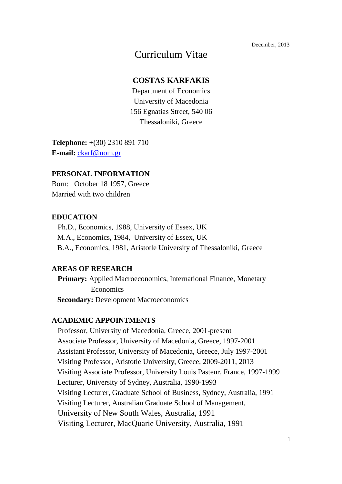December, 2013

# Curriculum Vitae

### **COSTAS KARFAKIS**

Department of Economics University of Macedonia 156 Egnatias Street, 540 06 Thessaloniki, Greece

**Telephone:** +(30) 2310 891 710 **E-mail:** ckarf@uom.gr

### **PERSONAL INFORMATION**

Born: October 18 1957, Greece Married with two children

### **EDUCATION**

 Ph.D., Economics, 1988, University of Essex, UK M.A., Economics, 1984, University of Essex, UK B.A., Economics, 1981, Aristotle University of Thessaloniki, Greece

#### **AREAS OF RESEARCH**

 **Primary:** Applied Macroeconomics, International Finance, Monetary Economics **Secondary:** Development Macroeconomics

### **ACADEMIC APPOINTMENTS**

 Professor, University of Macedonia, Greece, 2001-present Associate Professor, University of Macedonia, Greece, 1997-2001 Assistant Professor, University of Macedonia, Greece, July 1997-2001 Visiting Professor, Aristotle University, Greece, 2009-2011, 2013 Visiting Associate Professor, University Louis Pasteur, France, 1997-1999 Lecturer, University of Sydney, Australia, 1990-1993 Visiting Lecturer, Graduate School of Business, Sydney, Australia, 1991 Visiting Lecturer, Australian Graduate School of Management, University of New South Wales, Australia, 1991 Visiting Lecturer, MacQuarie University, Australia, 1991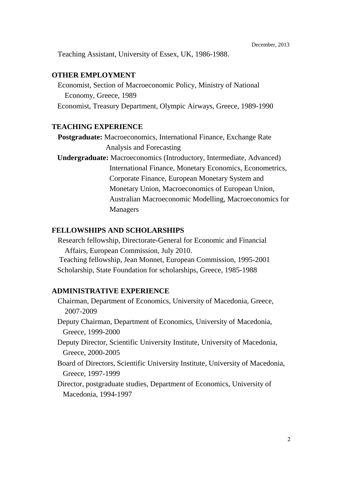Teaching Assistant, University of Essex, UK, 1986-1988.

#### **OTHER EMPLOYMENT**

 Economist, Section of Macroeconomic Policy, Ministry of National Economy, Greece, 1989 Economist, Treasury Department, Olympic Airways, Greece, 1989-1990

#### **TEACHING EXPERIENCE**

 **Postgraduate:** Macroeconomics, International Finance, Exchange Rate Analysis and Forecasting

 **Undergraduate:** Macroeconomics (Introductory, Intermediate, Advanced) International Finance, Monetary Economics, Econometrics, Corporate Finance, European Monetary System and Monetary Union, Macroeconomics of European Union, Australian Macroeconomic Modelling, Macroeconomics for Managers

### **FELLOWSHIPS AND SCHOLARSHIPS**

 Research fellowship, Directorate-General for Economic and Financial Affairs, European Commission, July 2010.

 Teaching fellowship, Jean Monnet, European Commission, 1995-2001 Scholarship, State Foundation for scholarships, Greece, 1985-1988

#### **ADMINISTRATIVE EXPERIENCE**

- Chairman, Department of Economics, University of Macedonia, Greece, 2007-2009
- Deputy Chairman, Department of Economics, University of Macedonia, Greece, 1999-2000
- Deputy Director, Scientific University Institute, University of Macedonia, Greece, 2000-2005
- Board of Directors, Scientific University Institute, University of Macedonia, Greece, 1997-1999
- Director, postgraduate studies, Department of Economics, University of Macedonia, 1994-1997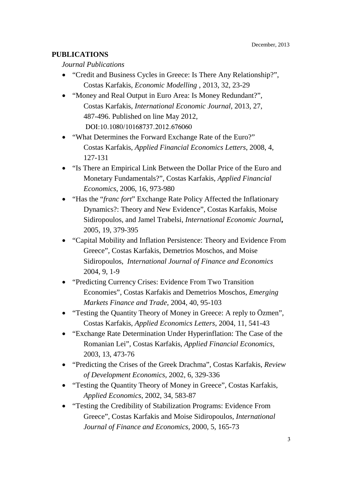# **PUBLICATIONS**

### *Journal Publications*

- "Credit and Business Cycles in Greece: Is There Any Relationship?", Costas Karfakis, *Economic Modelling* , 2013, 32, 23-29
- "Money and Real Output in Euro Area: Is Money Redundant?", Costas Karfakis, *International Economic Journal*, 2013, 27, 487-496. Published on line May 2012, DOI:10.1080/10168737.2012.676060
- "What Determines the Forward Exchange Rate of the Euro?" Costas Karfakis, *Applied Financial Economics Letters*, 2008, 4, 127-131
- "Is There an Empirical Link Between the Dollar Price of the Euro and Monetary Fundamentals?", Costas Karfakis, *Applied Financial Economics*, 2006, 16, 973-980
- "Has the "*franc fort*" Exchange Rate Policy Affected the Inflationary Dynamics?: Theory and New Evidence", Costas Karfakis, Moise Sidiropoulos, and Jamel Trabelsi, *International Economic Journal***,** 2005, 19, 379-395
- "Capital Mobility and Inflation Persistence: Theory and Evidence From Greece", Costas Karfakis, Demetrios Moschos, and Moise Sidiropoulos, *International Journal of Finance and Economics* 2004, 9, 1-9
- "Predicting Currency Crises: Evidence From Two Transition Economies", Costas Karfakis and Demetrios Moschos, *Emerging Markets Finance and Trade*, 2004, 40, 95-103
- "Testing the Quantity Theory of Money in Greece: A reply to Özmen", Costas Karfakis, *Applied Economics Letters*, 2004, 11, 541-43
- "Exchange Rate Determination Under Hyperinflation: The Case of the Romanian Lei", Costas Karfakis, *Applied Financial Economics*, 2003, 13, 473-76
- "Predicting the Crises of the Greek Drachma", Costas Karfakis, *Review of Development Economics*, 2002, 6, 329-336
- "Testing the Quantity Theory of Money in Greece", Costas Karfakis, *Applied Economics*, 2002, 34, 583-87
- "Testing the Credibility of Stabilization Programs: Evidence From Greece", Costas Karfakis and Moise Sidiropoulos*, International Journal of Finance and Economics*, 2000, 5, 165-73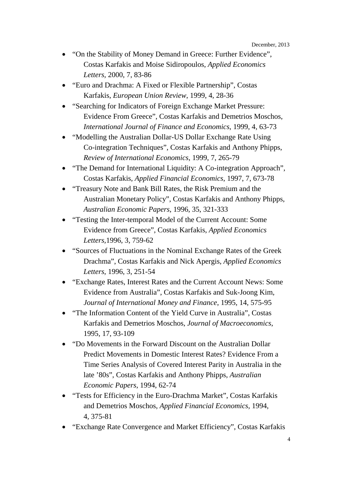December, 2013

- "On the Stability of Money Demand in Greece: Further Evidence", Costas Karfakis and Moise Sidiropoulos, *Applied Economics Letters,* 2000, 7, 83-86
- "Euro and Drachma: A Fixed or Flexible Partnership", Costas Karfakis, *European Union Review*, 1999, 4, 28-36
- "Searching for Indicators of Foreign Exchange Market Pressure: Evidence From Greece", Costas Karfakis and Demetrios Moschos, *International Journal of Finance and Economics*, 1999, 4, 63-73
- "Modelling the Australian Dollar-US Dollar Exchange Rate Using Co-integration Techniques", Costas Karfakis and Anthony Phipps, *Review of International Economics*, 1999, 7, 265-79
- "The Demand for International Liquidity: A Co-integration Approach", Costas Karfakis, *Applied Financial Economics*, 1997, 7, 673-78
- "Treasury Note and Bank Bill Rates, the Risk Premium and the Australian Monetary Policy", Costas Karfakis and Anthony Phipps, *Australian Economic Papers*, 1996, 35, 321-333
- "Testing the Inter-temporal Model of the Current Account: Some Evidence from Greece", Costas Karfakis, *Applied Economics Letters,*1996, 3, 759-62
- "Sources of Fluctuations in the Nominal Exchange Rates of the Greek Drachma", Costas Karfakis and Nick Apergis, *Applied Economics Letters*, 1996, 3, 251-54
- "Exchange Rates, Interest Rates and the Current Account News: Some Evidence from Australia", Costas Karfakis and Suk-Joong Kim, *Journal of International Money and Finance*, 1995, 14, 575-95
- "The Information Content of the Yield Curve in Australia", Costas Karfakis and Demetrios Moschos, *Journal of Macroeconomics*, 1995, 17, 93-109
- "Do Movements in the Forward Discount on the Australian Dollar Predict Movements in Domestic Interest Rates? Evidence From a Time Series Analysis of Covered Interest Parity in Australia in the late '80s", Costas Karfakis and Anthony Phipps, *Australian Economic Papers*, 1994, 62-74
- "Tests for Efficiency in the Euro-Drachma Market", Costas Karfakis and Demetrios Moschos, *Applied Financial Economics*, 1994, 4, 375-81
- "Exchange Rate Convergence and Market Efficiency", Costas Karfakis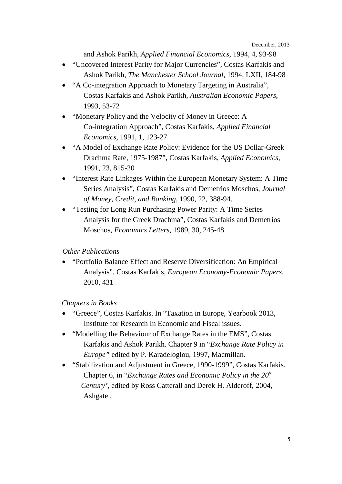and Ashok Parikh, *Applied Financial Economics*, 1994*,* 4, 93-98

- "Uncovered Interest Parity for Major Currencies", Costas Karfakis and Ashok Parikh, *The Manchester School Journal*, 1994, LXII, 184-98
- "A Co-integration Approach to Monetary Targeting in Australia", Costas Karfakis and Ashok Parikh, *Australian Economic Papers,* 1993, 53-72
- "Monetary Policy and the Velocity of Money in Greece: A Co-integration Approach", Costas Karfakis, *Applied Financial Economics*, 1991, 1, 123-27
- "A Model of Exchange Rate Policy: Evidence for the US Dollar-Greek Drachma Rate, 1975-1987", Costas Karfakis, *Applied Economics*, 1991, 23, 815-20
- "Interest Rate Linkages Within the European Monetary System: A Time Series Analysis", Costas Karfakis and Demetrios Moschos, *Journal of Money, Credit, and Banking*, 1990, 22, 388-94.
- "Testing for Long Run Purchasing Power Parity: A Time Series Analysis for the Greek Drachma", Costas Karfakis and Demetrios Moschos, *Economics Letters*, 1989, 30, 245-48.

# *Other Publications*

• "Portfolio Balance Effect and Reserve Diversification: An Empirical Analysis", Costas Karfakis, *European Economy-Economic Papers,* 2010, 431

# *Chapters in Books*

- "Greece", Costas Karfakis. In "Taxation in Europe, Yearbook 2013, Institute for Research In Economic and Fiscal issues.
- "Modelling the Behaviour of Exchange Rates in the EMS", Costas Karfakis and Ashok Parikh. Chapter 9 in "*Exchange Rate Policy in Europe"* edited by P. Karadeloglou, 1997, Macmillan.
- "Stabilization and Adjustment in Greece, 1990-1999", Costas Karfakis. Chapter 6, in "*Exchange Rates and Economic Policy in the 20th Century',* edited by Ross Catterall and Derek H. Aldcroff, 2004, Ashgate .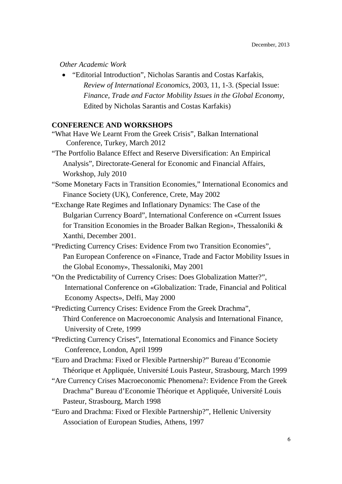#### *Other Academic Work*

• "Editorial Introduction", Nicholas Sarantis and Costas Karfakis, *Review of International Economics*, 2003, 11, 1-3. (Special Issue:  *Finance, Trade and Factor Mobility Issues in the Global Economy*, Edited by Nicholas Sarantis and Costas Karfakis)

# **CONFERENCE AND WORKSHOPS**

| "What Have We Learnt From the Greek Crisis", Balkan International          |
|----------------------------------------------------------------------------|
| Conference, Turkey, March 2012                                             |
| "The Portfolio Balance Effect and Reserve Diversification: An Empirical    |
| Analysis", Directorate-General for Economic and Financial Affairs,         |
| Workshop, July 2010                                                        |
| "Some Monetary Facts in Transition Economies," International Economics and |
| Finance Society (UK), Conference, Crete, May 2002                          |
| "Exchange Rate Regimes and Inflationary Dynamics: The Case of the          |
| Bulgarian Currency Board", International Conference on «Current Issues     |
| for Transition Economies in the Broader Balkan Region», Thessaloniki &     |
| Xanthi, December 2001.                                                     |
| "Predicting Currency Crises: Evidence From two Transition Economies",      |
| Pan European Conference on «Finance, Trade and Factor Mobility Issues in   |
| the Global Economy», Thessaloniki, May 2001                                |
| "On the Predictability of Currency Crises: Does Globalization Matter?",    |
| International Conference on «Globalization: Trade, Financial and Political |
| Economy Aspects», Delfi, May 2000                                          |
| "Predicting Currency Crises: Evidence From the Greek Drachma",             |
| Third Conference on Macroeconomic Analysis and International Finance,      |
| University of Crete, 1999                                                  |
| "Predicting Currency Crises", International Economics and Finance Society  |
| Conference, London, April 1999                                             |
| "Euro and Drachma: Fixed or Flexible Partnership?" Bureau d'Economie       |
| Théorique et Appliquée, Université Louis Pasteur, Strasbourg, March 1999   |
| "Are Currency Crises Macroeconomic Phenomena?: Evidence From the Greek     |
| Drachma" Bureau d'Economie Théorique et Appliquée, Université Louis        |
| Pasteur, Strasbourg, March 1998                                            |
| "Euro and Drachma: Fixed or Flexible Partnership?", Hellenic University    |

Association of European Studies, Athens, 1997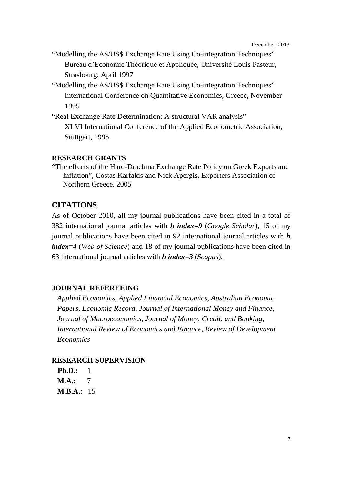December, 2013

- "Modelling the A\$/US\$ Exchange Rate Using Co-integration Techniques" Bureau d'Economie Théorique et Appliquée, Université Louis Pasteur, Strasbourg, April 1997
- "Modelling the A\$/US\$ Exchange Rate Using Co-integration Techniques" International Conference on Quantitative Economics, Greece, November 1995
- "Real Exchange Rate Determination: A structural VAR analysis" XLVI International Conference of the Applied Econometric Association, Stuttgart, 1995

### **RESEARCH GRANTS**

**"**The effects of the Hard-Drachma Exchange Rate Policy on Greek Exports and Inflation", Costas Karfakis and Nick Apergis, Exporters Association of Northern Greece, 2005

# **CITATIONS**

As of October 2010, all my journal publications have been cited in a total of 382 international journal articles with *h index=9* (*Google Scholar*), 15 of my journal publications have been cited in 92 international journal articles with *h index=4* (*Web of Science*) and 18 of my journal publications have been cited in 63 international journal articles with *h index=3* (*Scopus*).

### **JOURNAL REFEREEING**

 *Applied Economics, Applied Financial Economics, Australian Economic Papers, Economic Record, Journal of International Money and Finance, Journal of Macroeconomics, Journal of Money, Credit, and Banking, International Review of Economics and Finance, Review of Development Economics*

### **RESEARCH SUPERVISION**

**Ph.D.:** 1 **M.A.:** 7 **M.B.A.**: 15